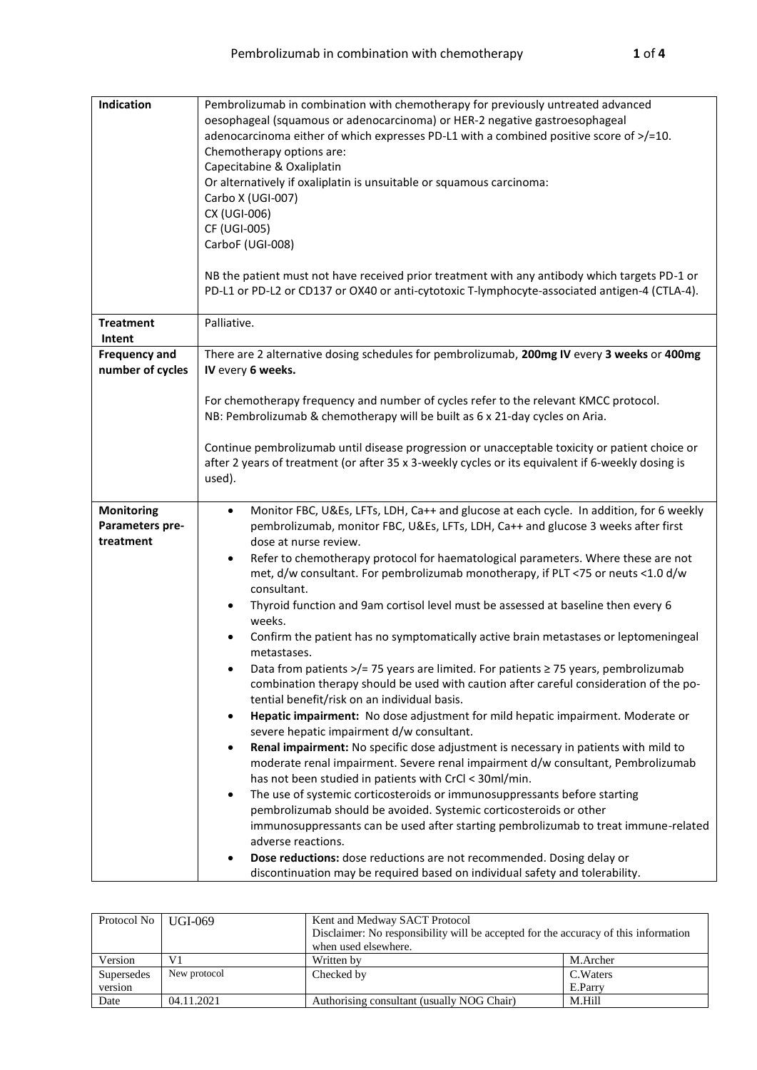| Indication                                        | Pembrolizumab in combination with chemotherapy for previously untreated advanced<br>oesophageal (squamous or adenocarcinoma) or HER-2 negative gastroesophageal<br>adenocarcinoma either of which expresses PD-L1 with a combined positive score of >/=10.<br>Chemotherapy options are:<br>Capecitabine & Oxaliplatin<br>Or alternatively if oxaliplatin is unsuitable or squamous carcinoma:<br>Carbo X (UGI-007)<br>CX (UGI-006)<br>CF (UGI-005)<br>CarboF (UGI-008)<br>NB the patient must not have received prior treatment with any antibody which targets PD-1 or<br>PD-L1 or PD-L2 or CD137 or OX40 or anti-cytotoxic T-lymphocyte-associated antigen-4 (CTLA-4).                                                                                                                                                                                                                                                                                                                                                                                                                                                                                                                                                                                                                                                                                                                                                                                                                                                                                                                                                                                                                 |  |  |  |  |  |
|---------------------------------------------------|------------------------------------------------------------------------------------------------------------------------------------------------------------------------------------------------------------------------------------------------------------------------------------------------------------------------------------------------------------------------------------------------------------------------------------------------------------------------------------------------------------------------------------------------------------------------------------------------------------------------------------------------------------------------------------------------------------------------------------------------------------------------------------------------------------------------------------------------------------------------------------------------------------------------------------------------------------------------------------------------------------------------------------------------------------------------------------------------------------------------------------------------------------------------------------------------------------------------------------------------------------------------------------------------------------------------------------------------------------------------------------------------------------------------------------------------------------------------------------------------------------------------------------------------------------------------------------------------------------------------------------------------------------------------------------------|--|--|--|--|--|
| <b>Treatment</b><br>Intent                        | Palliative.                                                                                                                                                                                                                                                                                                                                                                                                                                                                                                                                                                                                                                                                                                                                                                                                                                                                                                                                                                                                                                                                                                                                                                                                                                                                                                                                                                                                                                                                                                                                                                                                                                                                              |  |  |  |  |  |
| <b>Frequency and</b><br>number of cycles          | There are 2 alternative dosing schedules for pembrolizumab, 200mg IV every 3 weeks or 400mg<br>IV every 6 weeks.                                                                                                                                                                                                                                                                                                                                                                                                                                                                                                                                                                                                                                                                                                                                                                                                                                                                                                                                                                                                                                                                                                                                                                                                                                                                                                                                                                                                                                                                                                                                                                         |  |  |  |  |  |
|                                                   | For chemotherapy frequency and number of cycles refer to the relevant KMCC protocol.<br>NB: Pembrolizumab & chemotherapy will be built as 6 x 21-day cycles on Aria.<br>Continue pembrolizumab until disease progression or unacceptable toxicity or patient choice or<br>after 2 years of treatment (or after 35 x 3-weekly cycles or its equivalent if 6-weekly dosing is<br>used).                                                                                                                                                                                                                                                                                                                                                                                                                                                                                                                                                                                                                                                                                                                                                                                                                                                                                                                                                                                                                                                                                                                                                                                                                                                                                                    |  |  |  |  |  |
| <b>Monitoring</b><br>Parameters pre-<br>treatment | Monitor FBC, U&Es, LFTs, LDH, Ca++ and glucose at each cycle. In addition, for 6 weekly<br>$\bullet$<br>pembrolizumab, monitor FBC, U&Es, LFTs, LDH, Ca++ and glucose 3 weeks after first<br>dose at nurse review.<br>Refer to chemotherapy protocol for haematological parameters. Where these are not<br>met, d/w consultant. For pembrolizumab monotherapy, if PLT <75 or neuts <1.0 d/w<br>consultant.<br>Thyroid function and 9am cortisol level must be assessed at baseline then every 6<br>weeks.<br>Confirm the patient has no symptomatically active brain metastases or leptomeningeal<br>metastases.<br>Data from patients $\frac{1}{2}$ 75 years are limited. For patients $\geq$ 75 years, pembrolizumab<br>combination therapy should be used with caution after careful consideration of the po-<br>tential benefit/risk on an individual basis.<br>Hepatic impairment: No dose adjustment for mild hepatic impairment. Moderate or<br>$\bullet$<br>severe hepatic impairment d/w consultant.<br>Renal impairment: No specific dose adjustment is necessary in patients with mild to<br>moderate renal impairment. Severe renal impairment d/w consultant, Pembrolizumab<br>has not been studied in patients with CrCl < 30ml/min.<br>The use of systemic corticosteroids or immunosuppressants before starting<br>$\bullet$<br>pembrolizumab should be avoided. Systemic corticosteroids or other<br>immunosuppressants can be used after starting pembrolizumab to treat immune-related<br>adverse reactions.<br>Dose reductions: dose reductions are not recommended. Dosing delay or<br>discontinuation may be required based on individual safety and tolerability. |  |  |  |  |  |

| Protocol No | UGI-069      | Kent and Medway SACT Protocol<br>Disclaimer: No responsibility will be accepted for the accuracy of this information<br>when used elsewhere. |           |  |  |  |
|-------------|--------------|----------------------------------------------------------------------------------------------------------------------------------------------|-----------|--|--|--|
| Version     | V1           | Written by<br>M.Archer                                                                                                                       |           |  |  |  |
| Supersedes  | New protocol | Checked by                                                                                                                                   | C. Waters |  |  |  |
| version     |              | E.Parry                                                                                                                                      |           |  |  |  |
| Date        | 04.11.2021   | Authorising consultant (usually NOG Chair)<br>M.Hill                                                                                         |           |  |  |  |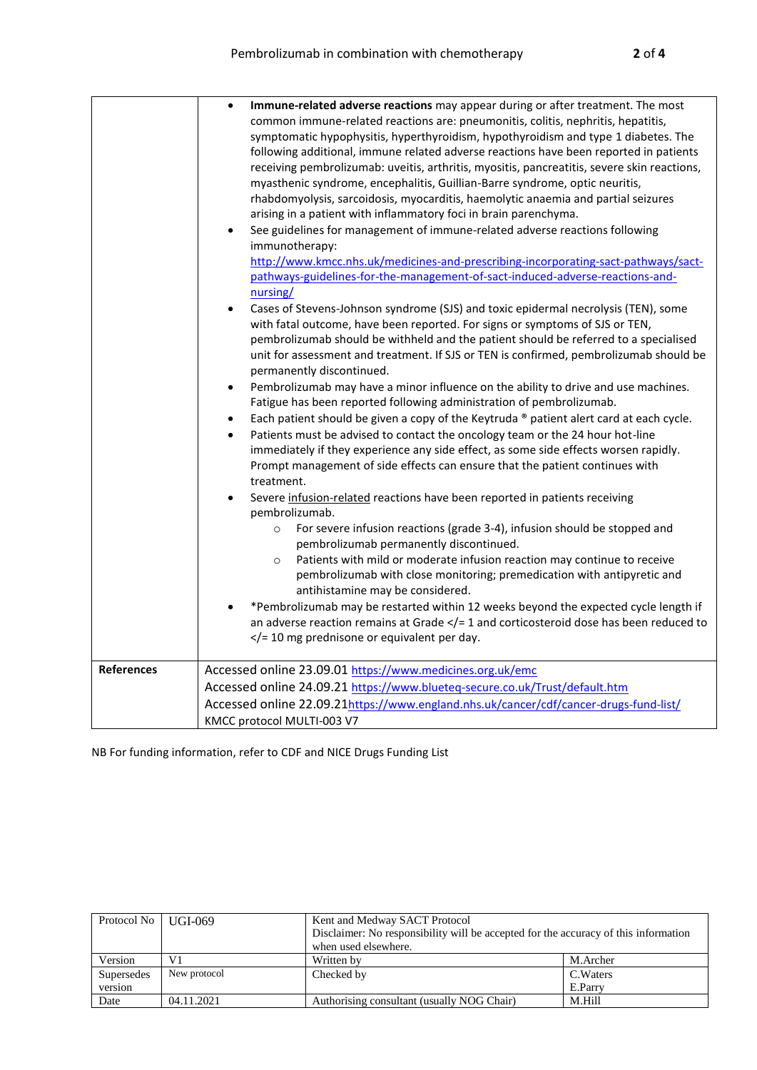|                   | Immune-related adverse reactions may appear during or after treatment. The most<br>common immune-related reactions are: pneumonitis, colitis, nephritis, hepatitis,<br>symptomatic hypophysitis, hyperthyroidism, hypothyroidism and type 1 diabetes. The<br>following additional, immune related adverse reactions have been reported in patients<br>receiving pembrolizumab: uveitis, arthritis, myositis, pancreatitis, severe skin reactions,<br>myasthenic syndrome, encephalitis, Guillian-Barre syndrome, optic neuritis,<br>rhabdomyolysis, sarcoidosis, myocarditis, haemolytic anaemia and partial seizures<br>arising in a patient with inflammatory foci in brain parenchyma.<br>See guidelines for management of immune-related adverse reactions following<br>$\bullet$<br>immunotherapy:<br>http://www.kmcc.nhs.uk/medicines-and-prescribing-incorporating-sact-pathways/sact-<br>pathways-guidelines-for-the-management-of-sact-induced-adverse-reactions-and-<br>nursing/<br>Cases of Stevens-Johnson syndrome (SJS) and toxic epidermal necrolysis (TEN), some<br>$\bullet$<br>with fatal outcome, have been reported. For signs or symptoms of SJS or TEN,<br>pembrolizumab should be withheld and the patient should be referred to a specialised<br>unit for assessment and treatment. If SJS or TEN is confirmed, pembrolizumab should be<br>permanently discontinued.<br>Pembrolizumab may have a minor influence on the ability to drive and use machines.<br>$\bullet$<br>Fatigue has been reported following administration of pembrolizumab.<br>Each patient should be given a copy of the Keytruda ® patient alert card at each cycle.<br>$\bullet$<br>Patients must be advised to contact the oncology team or the 24 hour hot-line<br>$\bullet$<br>immediately if they experience any side effect, as some side effects worsen rapidly.<br>Prompt management of side effects can ensure that the patient continues with<br>treatment.<br>Severe infusion-related reactions have been reported in patients receiving<br>$\bullet$<br>pembrolizumab.<br>For severe infusion reactions (grade 3-4), infusion should be stopped and<br>$\circ$<br>pembrolizumab permanently discontinued.<br>Patients with mild or moderate infusion reaction may continue to receive<br>$\circ$<br>pembrolizumab with close monitoring; premedication with antipyretic and<br>antihistamine may be considered.<br>*Pembrolizumab may be restarted within 12 weeks beyond the expected cycle length if<br>$\bullet$<br>an adverse reaction remains at Grade $\lt/=1$ and corticosteroid dose has been reduced to<br>$\langle$ = 10 mg prednisone or equivalent per day. |
|-------------------|-----------------------------------------------------------------------------------------------------------------------------------------------------------------------------------------------------------------------------------------------------------------------------------------------------------------------------------------------------------------------------------------------------------------------------------------------------------------------------------------------------------------------------------------------------------------------------------------------------------------------------------------------------------------------------------------------------------------------------------------------------------------------------------------------------------------------------------------------------------------------------------------------------------------------------------------------------------------------------------------------------------------------------------------------------------------------------------------------------------------------------------------------------------------------------------------------------------------------------------------------------------------------------------------------------------------------------------------------------------------------------------------------------------------------------------------------------------------------------------------------------------------------------------------------------------------------------------------------------------------------------------------------------------------------------------------------------------------------------------------------------------------------------------------------------------------------------------------------------------------------------------------------------------------------------------------------------------------------------------------------------------------------------------------------------------------------------------------------------------------------------------------------------------------------------------------------------------------------------------------------------------------------------------------------------------------------------------------------------------------------------------------------------------------------------------------------------------------------------------------------------------------------------------------------------------------------------------------------------------------------------------------------------------------------------------|
| <b>References</b> | Accessed online 23.09.01 https://www.medicines.org.uk/emc<br>Accessed online 24.09.21 https://www.blueteq-secure.co.uk/Trust/default.htm<br>Accessed online 22.09.21https://www.england.nhs.uk/cancer/cdf/cancer-drugs-fund-list/<br>KMCC protocol MULTI-003 V7                                                                                                                                                                                                                                                                                                                                                                                                                                                                                                                                                                                                                                                                                                                                                                                                                                                                                                                                                                                                                                                                                                                                                                                                                                                                                                                                                                                                                                                                                                                                                                                                                                                                                                                                                                                                                                                                                                                                                                                                                                                                                                                                                                                                                                                                                                                                                                                                                   |

NB For funding information, refer to CDF and NICE Drugs Funding List

| Protocol No   UGI-069 |              | Kent and Medway SACT Protocol                                                       |          |  |  |
|-----------------------|--------------|-------------------------------------------------------------------------------------|----------|--|--|
|                       |              | Disclaimer: No responsibility will be accepted for the accuracy of this information |          |  |  |
|                       |              | when used elsewhere.                                                                |          |  |  |
| Version               | V1           | Written by                                                                          | M.Archer |  |  |
| Supersedes            | New protocol | C. Waters<br>Checked by                                                             |          |  |  |
| version               |              | E.Parry                                                                             |          |  |  |
| Date                  | 04.11.2021   | Authorising consultant (usually NOG Chair)                                          | M.Hill   |  |  |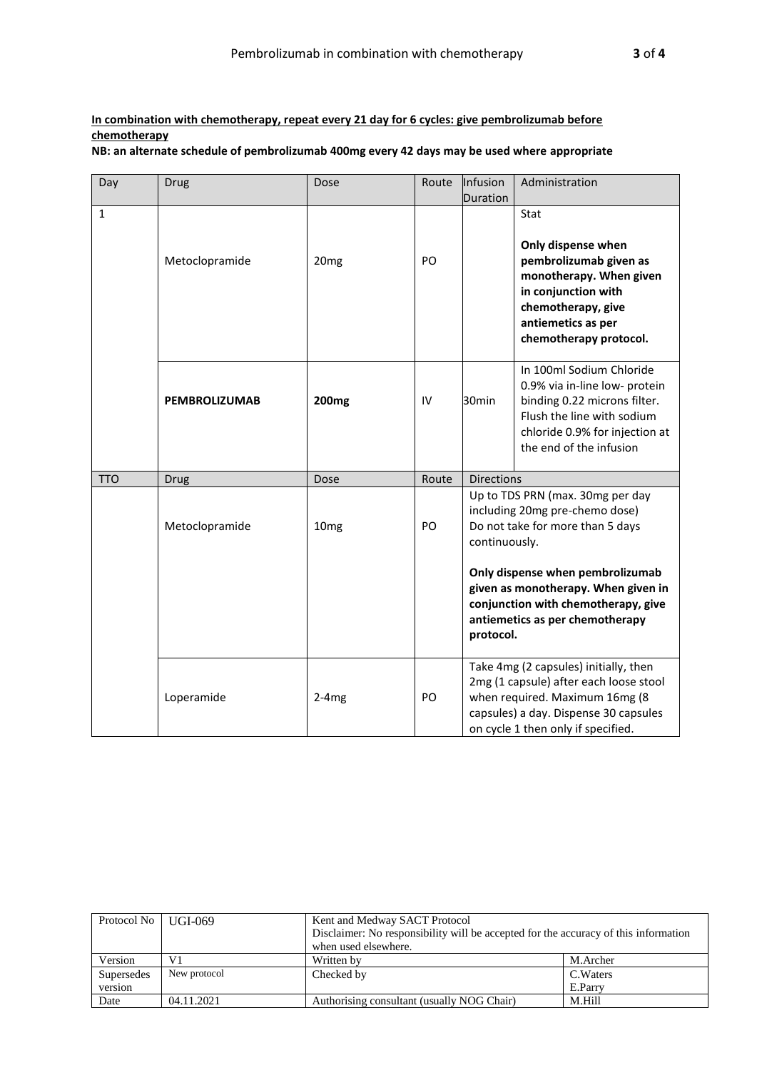## **In combination with chemotherapy, repeat every 21 day for 6 cycles: give pembrolizumab before chemotherapy**

**NB: an alternate schedule of pembrolizumab 400mg every 42 days may be used where appropriate**

| Day          | <b>Drug</b>          | Dose              | Route | Infusion<br>Duration       | Administration                                                                                                                                                                                                                                              |
|--------------|----------------------|-------------------|-------|----------------------------|-------------------------------------------------------------------------------------------------------------------------------------------------------------------------------------------------------------------------------------------------------------|
| $\mathbf{1}$ | Metoclopramide       | 20 <sub>mg</sub>  | PO    |                            | Stat<br>Only dispense when<br>pembrolizumab given as<br>monotherapy. When given<br>in conjunction with<br>chemotherapy, give<br>antiemetics as per<br>chemotherapy protocol.                                                                                |
|              | <b>PEMBROLIZUMAB</b> | 200 <sub>mg</sub> | IV    | 30 <sub>min</sub>          | In 100ml Sodium Chloride<br>0.9% via in-line low- protein<br>binding 0.22 microns filter.<br>Flush the line with sodium<br>chloride 0.9% for injection at<br>the end of the infusion                                                                        |
| <b>TTO</b>   | Drug                 | Dose              | Route | <b>Directions</b>          |                                                                                                                                                                                                                                                             |
|              | Metoclopramide       | 10 <sub>mg</sub>  | PO    | continuously.<br>protocol. | Up to TDS PRN (max. 30mg per day<br>including 20mg pre-chemo dose)<br>Do not take for more than 5 days<br>Only dispense when pembrolizumab<br>given as monotherapy. When given in<br>conjunction with chemotherapy, give<br>antiemetics as per chemotherapy |
|              | Loperamide           | $2-4mg$           | PO    |                            | Take 4mg (2 capsules) initially, then<br>2mg (1 capsule) after each loose stool<br>when required. Maximum 16mg (8<br>capsules) a day. Dispense 30 capsules<br>on cycle 1 then only if specified.                                                            |

| Protocol No   UGI-069 |              | Kent and Medway SACT Protocol<br>Disclaimer: No responsibility will be accepted for the accuracy of this information<br>when used elsewhere. |  |  |  |
|-----------------------|--------------|----------------------------------------------------------------------------------------------------------------------------------------------|--|--|--|
| Version               | V1           | M.Archer<br>Written by                                                                                                                       |  |  |  |
| Supersedes            | New protocol | Checked by<br>C. Waters                                                                                                                      |  |  |  |
| version               |              | E.Parry                                                                                                                                      |  |  |  |
| Date                  | 04.11.2021   | Authorising consultant (usually NOG Chair)<br>M.Hill                                                                                         |  |  |  |